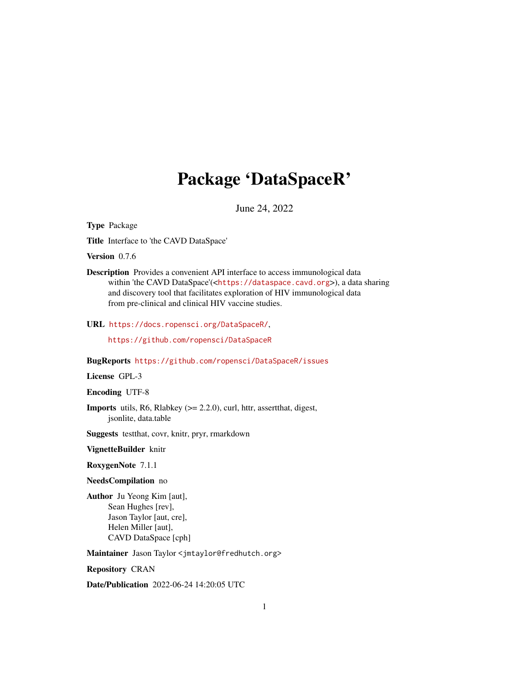# Package 'DataSpaceR'

June 24, 2022

<span id="page-0-0"></span>Type Package

Title Interface to 'the CAVD DataSpace'

Version 0.7.6

Description Provides a convenient API interface to access immunological data within 'the CAVD DataSpace'(<<https://dataspace.cavd.org>>), a data sharing and discovery tool that facilitates exploration of HIV immunological data from pre-clinical and clinical HIV vaccine studies.

URL <https://docs.ropensci.org/DataSpaceR/>,

<https://github.com/ropensci/DataSpaceR>

BugReports <https://github.com/ropensci/DataSpaceR/issues>

License GPL-3

Encoding UTF-8

Imports utils, R6, Rlabkey (>= 2.2.0), curl, httr, assertthat, digest, jsonlite, data.table

Suggests testthat, covr, knitr, pryr, rmarkdown

### VignetteBuilder knitr

RoxygenNote 7.1.1

# NeedsCompilation no

Author Ju Yeong Kim [aut], Sean Hughes [rev], Jason Taylor [aut, cre], Helen Miller [aut], CAVD DataSpace [cph]

Maintainer Jason Taylor <jmtaylor@fredhutch.org>

Repository CRAN

Date/Publication 2022-06-24 14:20:05 UTC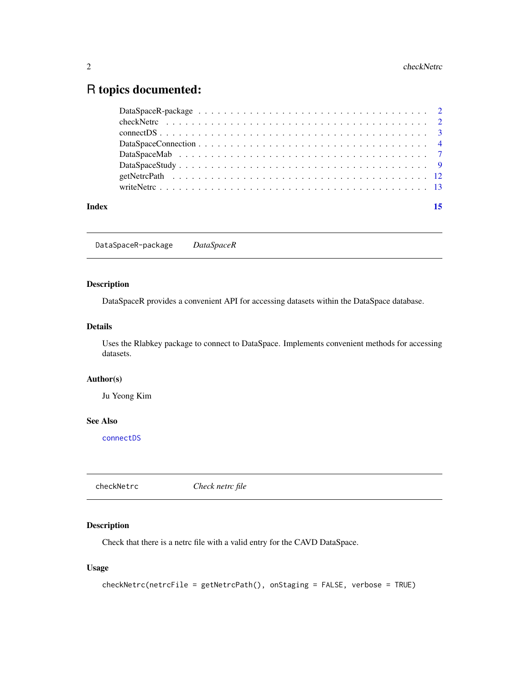# <span id="page-1-0"></span>R topics documented:

| Index | 15 |
|-------|----|
|       |    |
|       |    |
|       |    |
|       |    |
|       |    |
|       |    |
|       |    |
|       |    |

<span id="page-1-1"></span>DataSpaceR-package *DataSpaceR*

# Description

DataSpaceR provides a convenient API for accessing datasets within the DataSpace database.

# Details

Uses the Rlabkey package to connect to DataSpace. Implements convenient methods for accessing datasets.

# Author(s)

Ju Yeong Kim

# See Also

[connectDS](#page-2-1)

<span id="page-1-2"></span>checkNetrc *Check netrc file*

# Description

Check that there is a netrc file with a valid entry for the CAVD DataSpace.

# Usage

```
checkNetrc(netrcFile = getNetrcPath(), onStaging = FALSE, verbose = TRUE)
```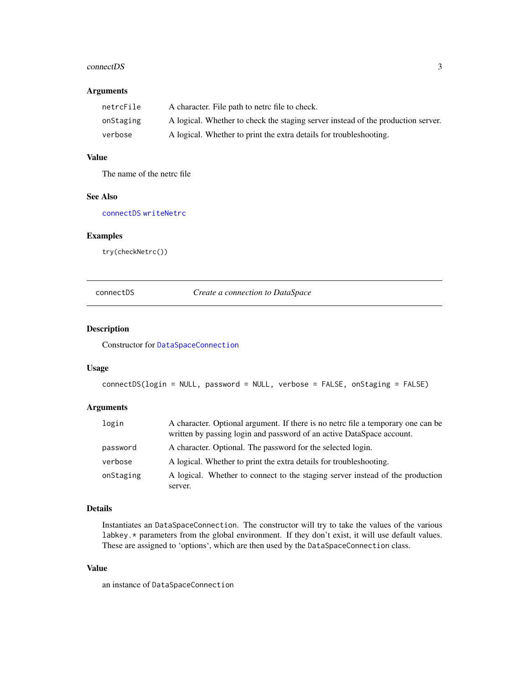## <span id="page-2-0"></span>connectDS 3

# Arguments

| netrcFile | A character. File path to netro file to check.                                   |
|-----------|----------------------------------------------------------------------------------|
| onStaging | A logical. Whether to check the staging server instead of the production server. |
| verbose   | A logical. Whether to print the extra details for troubleshooting.               |

# Value

The name of the netrc file

# See Also

[connectDS](#page-2-1) [writeNetrc](#page-12-1)

# Examples

try(checkNetrc())

# <span id="page-2-1"></span>connectDS *Create a connection to DataSpace*

# Description

Constructor for [DataSpaceConnection](#page-3-1)

#### Usage

```
connectDS(login = NULL, password = NULL, verbose = FALSE, onStaging = FALSE)
```
# Arguments

| login     | A character. Optional argument. If there is no netro file a temporary one can be<br>written by passing login and password of an active DataSpace account. |
|-----------|-----------------------------------------------------------------------------------------------------------------------------------------------------------|
| password  | A character. Optional. The password for the selected login.                                                                                               |
| verbose   | A logical. Whether to print the extra details for troubleshooting.                                                                                        |
| onStaging | A logical. Whether to connect to the staging server instead of the production<br>server.                                                                  |

# Details

Instantiates an DataSpaceConnection. The constructor will try to take the values of the various labkey.\* parameters from the global environment. If they don't exist, it will use default values. These are assigned to 'options', which are then used by the DataSpaceConnection class.

# Value

an instance of DataSpaceConnection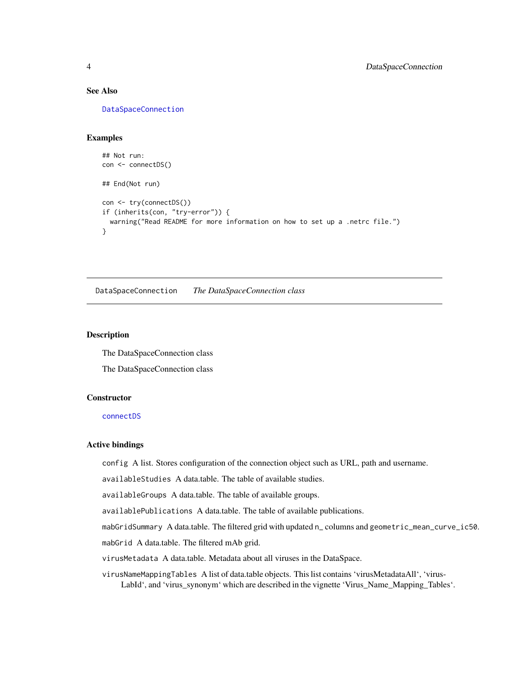# <span id="page-3-0"></span>See Also

[DataSpaceConnection](#page-3-1)

# Examples

```
## Not run:
con <- connectDS()
## End(Not run)
con <- try(connectDS())
if (inherits(con, "try-error")) {
  warning("Read README for more information on how to set up a .netrc file.")
}
```
<span id="page-3-1"></span>DataSpaceConnection *The DataSpaceConnection class*

# **Description**

The DataSpaceConnection class

The DataSpaceConnection class

# **Constructor**

[connectDS](#page-2-1)

# Active bindings

config A list. Stores configuration of the connection object such as URL, path and username.

availableStudies A data.table. The table of available studies.

availableGroups A data.table. The table of available groups.

availablePublications A data.table. The table of available publications.

mabGridSummary A data.table. The filtered grid with updated n\_ columns and geometric\_mean\_curve\_ic50.

mabGrid A data.table. The filtered mAb grid.

virusMetadata A data.table. Metadata about all viruses in the DataSpace.

virusNameMappingTables A list of data.table objects. This list contains 'virusMetadataAll', 'virus-LabId', and 'virus\_synonym' which are described in the vignette 'Virus\_Name\_Mapping\_Tables'.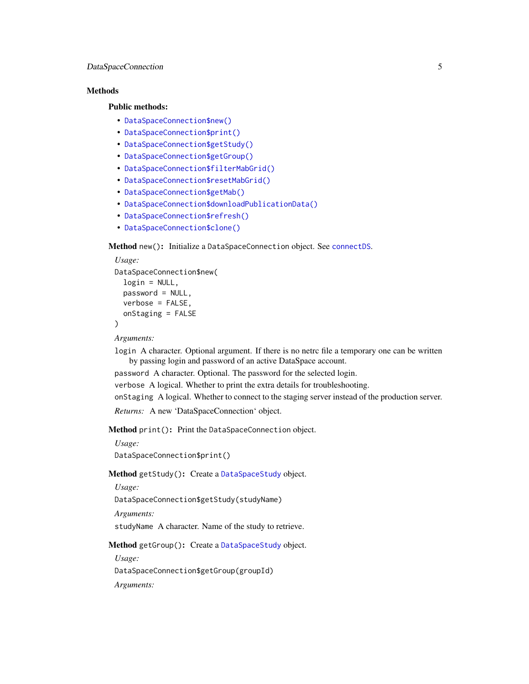# <span id="page-4-4"></span>**Methods**

# Public methods:

- [DataSpaceConnection\\$new\(\)](#page-4-0)
- [DataSpaceConnection\\$print\(\)](#page-4-1)
- [DataSpaceConnection\\$getStudy\(\)](#page-4-2)
- [DataSpaceConnection\\$getGroup\(\)](#page-4-3)
- [DataSpaceConnection\\$filterMabGrid\(\)](#page-5-0)
- [DataSpaceConnection\\$resetMabGrid\(\)](#page-5-1)
- [DataSpaceConnection\\$getMab\(\)](#page-5-2)
- [DataSpaceConnection\\$downloadPublicationData\(\)](#page-5-3)
- [DataSpaceConnection\\$refresh\(\)](#page-5-4)
- [DataSpaceConnection\\$clone\(\)](#page-5-5)

<span id="page-4-0"></span>Method new(): Initialize a DataSpaceConnection object. See [connectDS](#page-2-1).

```
Usage:
DataSpaceConnection$new(
  login = NULL,
 password = NULL,
 verbose = FALSE,
  onStaging = FALSE
)
```
*Arguments:*

login A character. Optional argument. If there is no netrc file a temporary one can be written by passing login and password of an active DataSpace account.

password A character. Optional. The password for the selected login.

verbose A logical. Whether to print the extra details for troubleshooting.

onStaging A logical. Whether to connect to the staging server instead of the production server.

*Returns:* A new 'DataSpaceConnection' object.

<span id="page-4-1"></span>Method print(): Print the DataSpaceConnection object.

*Usage:*

DataSpaceConnection\$print()

<span id="page-4-2"></span>Method getStudy(): Create a [DataSpaceStudy](#page-8-1) object.

*Usage:*

DataSpaceConnection\$getStudy(studyName)

*Arguments:*

studyName A character. Name of the study to retrieve.

<span id="page-4-3"></span>Method getGroup(): Create a [DataSpaceStudy](#page-8-1) object.

*Usage:*

DataSpaceConnection\$getGroup(groupId)

*Arguments:*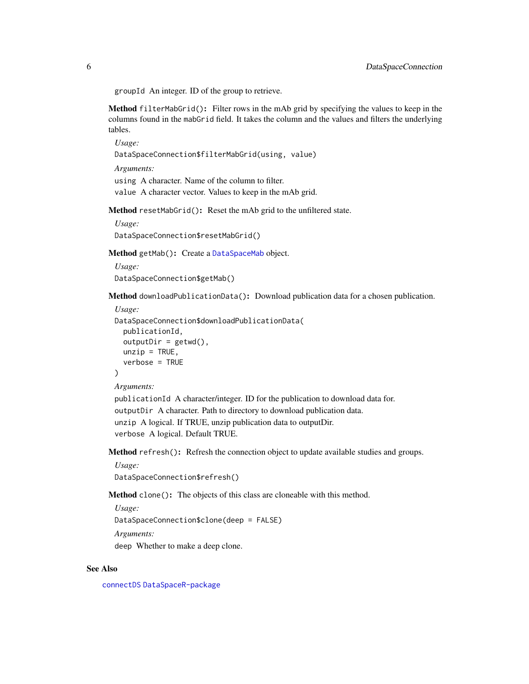<span id="page-5-6"></span>groupId An integer. ID of the group to retrieve.

<span id="page-5-0"></span>Method filterMabGrid(): Filter rows in the mAb grid by specifying the values to keep in the columns found in the mabGrid field. It takes the column and the values and filters the underlying tables.

*Usage:*

DataSpaceConnection\$filterMabGrid(using, value)

*Arguments:*

using A character. Name of the column to filter. value A character vector. Values to keep in the mAb grid.

<span id="page-5-1"></span>Method resetMabGrid(): Reset the mAb grid to the unfiltered state.

```
Usage:
DataSpaceConnection$resetMabGrid()
```
<span id="page-5-2"></span>Method getMab(): Create a [DataSpaceMab](#page-6-1) object.

*Usage:* DataSpaceConnection\$getMab()

<span id="page-5-3"></span>Method downloadPublicationData(): Download publication data for a chosen publication.

```
Usage:
DataSpaceConnection$downloadPublicationData(
 publicationId,
  outputDir = getwd(),
 unzip = TRUE,verbose = TRUE
)
```
*Arguments:*

publicationId A character/integer. ID for the publication to download data for. outputDir A character. Path to directory to download publication data. unzip A logical. If TRUE, unzip publication data to outputDir. verbose A logical. Default TRUE.

<span id="page-5-4"></span>Method refresh(): Refresh the connection object to update available studies and groups.

*Usage:*

DataSpaceConnection\$refresh()

<span id="page-5-5"></span>Method clone(): The objects of this class are cloneable with this method.

*Usage:*

DataSpaceConnection\$clone(deep = FALSE)

*Arguments:*

deep Whether to make a deep clone.

# See Also

[connectDS](#page-2-1) [DataSpaceR-package](#page-1-1)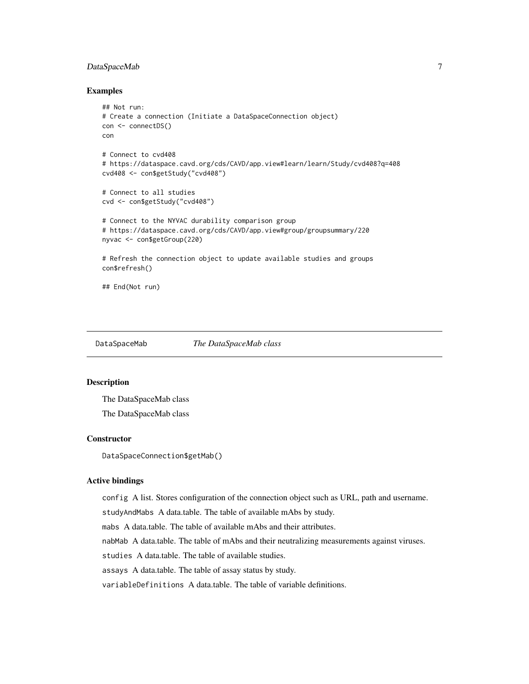# <span id="page-6-0"></span>DataSpaceMab 7

# Examples

```
## Not run:
# Create a connection (Initiate a DataSpaceConnection object)
con <- connectDS()
con
# Connect to cvd408
# https://dataspace.cavd.org/cds/CAVD/app.view#learn/learn/Study/cvd408?q=408
cvd408 <- con$getStudy("cvd408")
# Connect to all studies
cvd <- con$getStudy("cvd408")
# Connect to the NYVAC durability comparison group
# https://dataspace.cavd.org/cds/CAVD/app.view#group/groupsummary/220
nyvac <- con$getGroup(220)
# Refresh the connection object to update available studies and groups
con$refresh()
## End(Not run)
```
<span id="page-6-1"></span>DataSpaceMab *The DataSpaceMab class*

# Description

The DataSpaceMab class The DataSpaceMab class

# **Constructor**

DataSpaceConnection\$getMab()

### Active bindings

config A list. Stores configuration of the connection object such as URL, path and username.

studyAndMabs A data.table. The table of available mAbs by study.

mabs A data.table. The table of available mAbs and their attributes.

nabMab A data.table. The table of mAbs and their neutralizing measurements against viruses.

studies A data.table. The table of available studies.

assays A data.table. The table of assay status by study.

variableDefinitions A data.table. The table of variable definitions.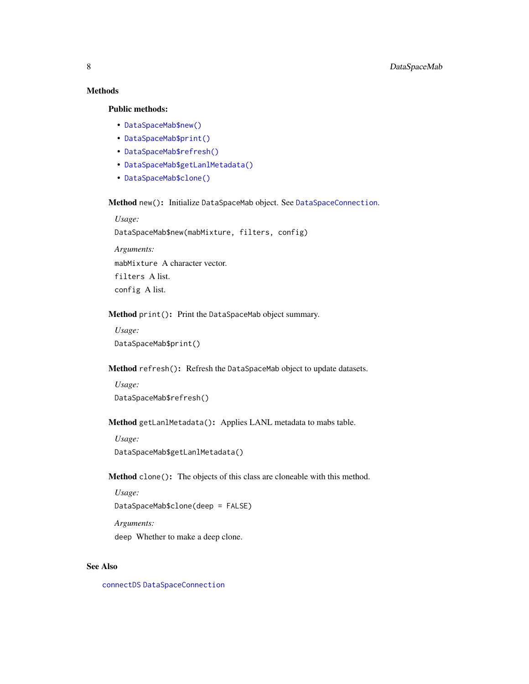# <span id="page-7-1"></span>Methods

# Public methods:

- [DataSpaceMab\\$new\(\)](#page-4-0)
- [DataSpaceMab\\$print\(\)](#page-4-1)
- [DataSpaceMab\\$refresh\(\)](#page-5-4)
- [DataSpaceMab\\$getLanlMetadata\(\)](#page-7-0)
- [DataSpaceMab\\$clone\(\)](#page-5-5)

Method new(): Initialize DataSpaceMab object. See [DataSpaceConnection](#page-3-1).

*Usage:*

DataSpaceMab\$new(mabMixture, filters, config)

*Arguments:* mabMixture A character vector. filters A list. config A list.

# Method print(): Print the DataSpaceMab object summary.

*Usage:* DataSpaceMab\$print()

# Method refresh(): Refresh the DataSpaceMab object to update datasets.

*Usage:* DataSpaceMab\$refresh()

# <span id="page-7-0"></span>Method getLanlMetadata(): Applies LANL metadata to mabs table.

*Usage:* DataSpaceMab\$getLanlMetadata()

Method clone(): The objects of this class are cloneable with this method.

*Usage:*

DataSpaceMab\$clone(deep = FALSE)

*Arguments:*

deep Whether to make a deep clone.

# See Also

[connectDS](#page-2-1) [DataSpaceConnection](#page-3-1)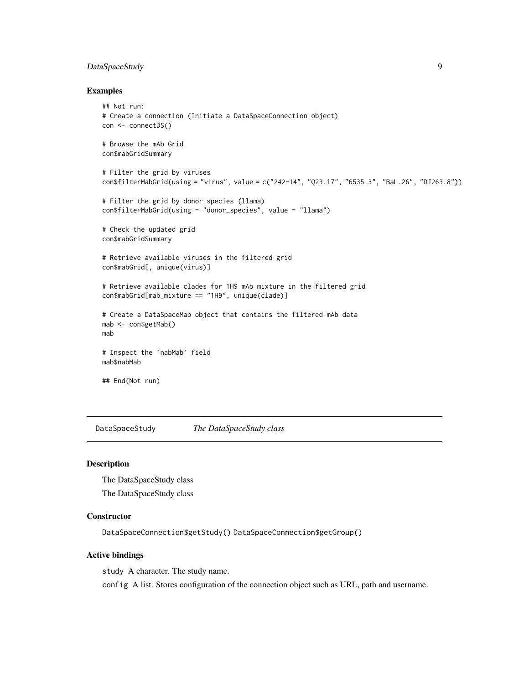# <span id="page-8-0"></span>DataSpaceStudy 9

# Examples

```
## Not run:
# Create a connection (Initiate a DataSpaceConnection object)
con <- connectDS()
# Browse the mAb Grid
con$mabGridSummary
# Filter the grid by viruses
con$filterMabGrid(using = "virus", value = c("242-14", "Q23.17", "6535.3", "BaL.26", "DJ263.8"))
# Filter the grid by donor species (llama)
con$filterMabGrid(using = "donor_species", value = "llama")
# Check the updated grid
con$mabGridSummary
# Retrieve available viruses in the filtered grid
con$mabGrid[, unique(virus)]
# Retrieve available clades for 1H9 mAb mixture in the filtered grid
con$mabGrid[mab_mixture == "1H9", unique(clade)]
# Create a DataSpaceMab object that contains the filtered mAb data
mab <- con$getMab()
mab
# Inspect the `nabMab` field
mab$nabMab
## End(Not run)
```
<span id="page-8-1"></span>DataSpaceStudy *The DataSpaceStudy class*

# Description

The DataSpaceStudy class

The DataSpaceStudy class

# **Constructor**

DataSpaceConnection\$getStudy() DataSpaceConnection\$getGroup()

# Active bindings

study A character. The study name.

config A list. Stores configuration of the connection object such as URL, path and username.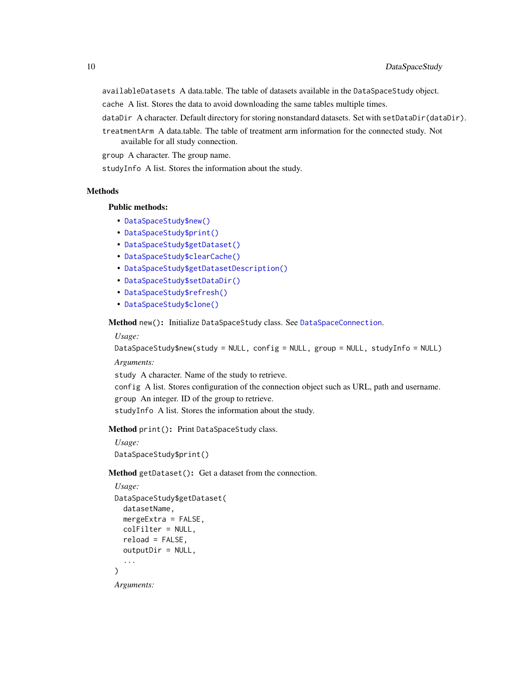<span id="page-9-1"></span>availableDatasets A data.table. The table of datasets available in the DataSpaceStudy object.

- cache A list. Stores the data to avoid downloading the same tables multiple times.
- dataDir A character. Default directory for storing nonstandard datasets. Set with setDataDir(dataDir).
- treatmentArm A data.table. The table of treatment arm information for the connected study. Not available for all study connection.

group A character. The group name.

studyInfo A list. Stores the information about the study.

# Methods

# Public methods:

- [DataSpaceStudy\\$new\(\)](#page-4-0)
- [DataSpaceStudy\\$print\(\)](#page-4-1)
- [DataSpaceStudy\\$getDataset\(\)](#page-9-0)
- [DataSpaceStudy\\$clearCache\(\)](#page-10-0)
- [DataSpaceStudy\\$getDatasetDescription\(\)](#page-10-1)
- [DataSpaceStudy\\$setDataDir\(\)](#page-10-2)
- [DataSpaceStudy\\$refresh\(\)](#page-5-4)
- [DataSpaceStudy\\$clone\(\)](#page-5-5)

Method new(): Initialize DataSpaceStudy class. See [DataSpaceConnection](#page-3-1).

*Usage:*

```
DataSpaceStudy$new(study = NULL, config = NULL, group = NULL, studyInfo = NULL)
```
*Arguments:*

study A character. Name of the study to retrieve.

config A list. Stores configuration of the connection object such as URL, path and username. group An integer. ID of the group to retrieve.

studyInfo A list. Stores the information about the study.

Method print(): Print DataSpaceStudy class.

*Usage:* DataSpaceStudy\$print()

<span id="page-9-0"></span>Method getDataset(): Get a dataset from the connection.

```
Usage:
DataSpaceStudy$getDataset(
 datasetName,
 mergeExtra = FALSE,
 colFilter = NULL,
 reload = FALSE,outputDir = NULL,
  ...
)
```
*Arguments:*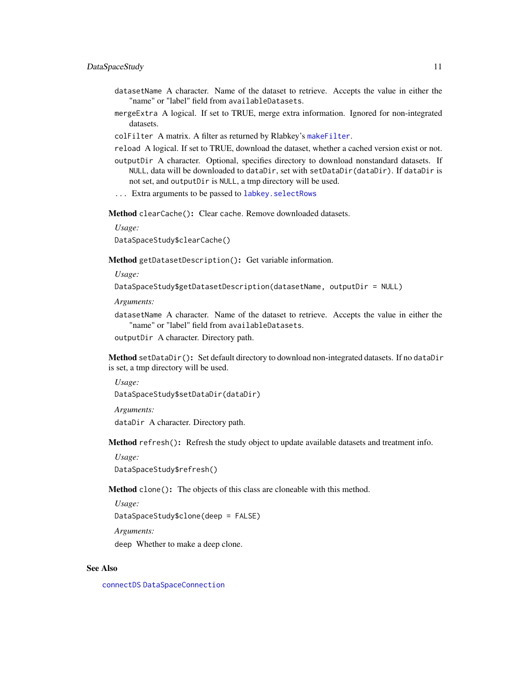# <span id="page-10-3"></span>DataSpaceStudy 11

- datasetName A character. Name of the dataset to retrieve. Accepts the value in either the "name" or "label" field from availableDatasets.
- mergeExtra A logical. If set to TRUE, merge extra information. Ignored for non-integrated datasets.
- colFilter A matrix. A filter as returned by Rlabkey's [makeFilter](#page-0-0).
- reload A logical. If set to TRUE, download the dataset, whether a cached version exist or not.
- outputDir A character. Optional, specifies directory to download nonstandard datasets. If NULL, data will be downloaded to dataDir, set with setDataDir(dataDir). If dataDir is not set, and outputDir is NULL, a tmp directory will be used.
- ... Extra arguments to be passed to [labkey.selectRows](#page-0-0)

<span id="page-10-0"></span>Method clearCache(): Clear cache. Remove downloaded datasets.

*Usage:*

DataSpaceStudy\$clearCache()

<span id="page-10-1"></span>Method getDatasetDescription(): Get variable information.

*Usage:*

DataSpaceStudy\$getDatasetDescription(datasetName, outputDir = NULL)

*Arguments:*

- datasetName A character. Name of the dataset to retrieve. Accepts the value in either the "name" or "label" field from availableDatasets.
- outputDir A character. Directory path.

<span id="page-10-2"></span>Method setDataDir(): Set default directory to download non-integrated datasets. If no dataDir is set, a tmp directory will be used.

*Usage:* DataSpaceStudy\$setDataDir(dataDir)

*Arguments:*

dataDir A character. Directory path.

Method refresh(): Refresh the study object to update available datasets and treatment info.

*Usage:*

DataSpaceStudy\$refresh()

Method clone(): The objects of this class are cloneable with this method.

*Usage:*

DataSpaceStudy\$clone(deep = FALSE)

*Arguments:*

deep Whether to make a deep clone.

# See Also

[connectDS](#page-2-1) [DataSpaceConnection](#page-3-1)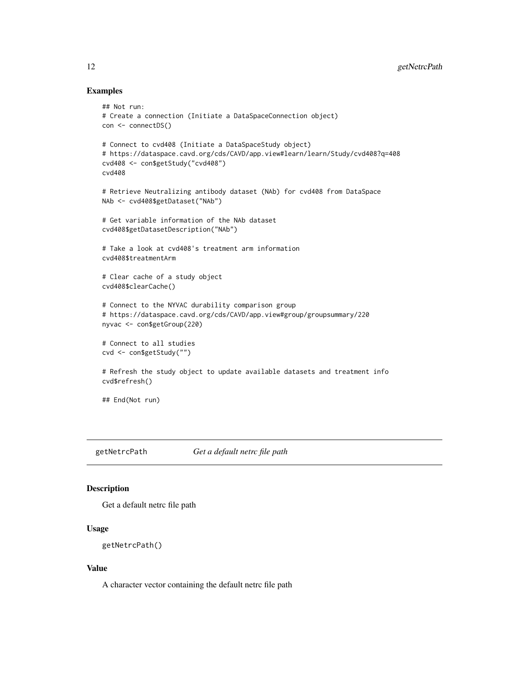# Examples

```
## Not run:
# Create a connection (Initiate a DataSpaceConnection object)
con <- connectDS()
# Connect to cvd408 (Initiate a DataSpaceStudy object)
# https://dataspace.cavd.org/cds/CAVD/app.view#learn/learn/Study/cvd408?q=408
cvd408 <- con$getStudy("cvd408")
cvd408
# Retrieve Neutralizing antibody dataset (NAb) for cvd408 from DataSpace
NAb <- cvd408$getDataset("NAb")
# Get variable information of the NAb dataset
cvd408$getDatasetDescription("NAb")
# Take a look at cvd408's treatment arm information
cvd408$treatmentArm
# Clear cache of a study object
cvd408$clearCache()
# Connect to the NYVAC durability comparison group
# https://dataspace.cavd.org/cds/CAVD/app.view#group/groupsummary/220
nyvac <- con$getGroup(220)
# Connect to all studies
cvd <- con$getStudy("")
# Refresh the study object to update available datasets and treatment info
cvd$refresh()
## End(Not run)
```
getNetrcPath *Get a default netrc file path*

# Description

Get a default netrc file path

# Usage

```
getNetrcPath()
```
# Value

A character vector containing the default netrc file path

<span id="page-11-0"></span>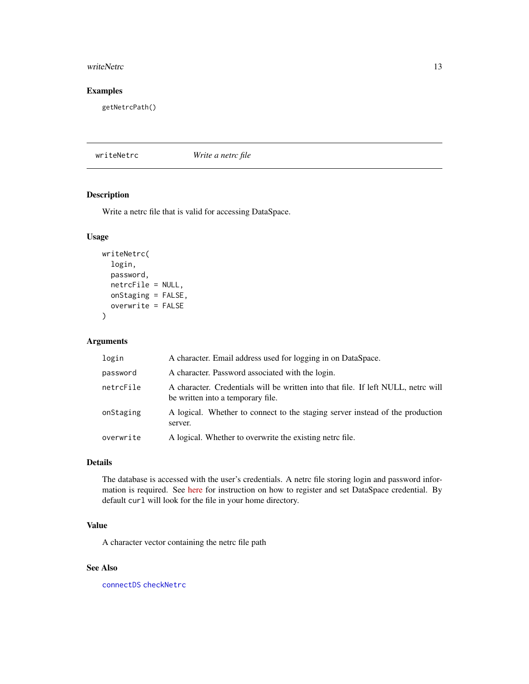## <span id="page-12-0"></span>writeNetrc 13

# Examples

getNetrcPath()

# <span id="page-12-1"></span>writeNetrc *Write a netrc file*

# Description

Write a netrc file that is valid for accessing DataSpace.

# Usage

```
writeNetrc(
  login,
 password,
  netrcFile = NULL,
 onStaging = FALSE,
  overwrite = FALSE
)
```
# Arguments

| login     | A character. Email address used for logging in on DataSpace.                                                           |
|-----------|------------------------------------------------------------------------------------------------------------------------|
| password  | A character. Password associated with the login.                                                                       |
| netrcFile | A character. Credentials will be written into that file. If left NULL, netrc will<br>be written into a temporary file. |
| onStaging | A logical. Whether to connect to the staging server instead of the production<br>server.                               |
| overwrite | A logical. Whether to overwrite the existing netro file.                                                               |

# Details

The database is accessed with the user's credentials. A netrc file storing login and password information is required. See [here](https://docs.ropensci.org/DataSpaceR/) for instruction on how to register and set DataSpace credential. By default curl will look for the file in your home directory.

# Value

A character vector containing the netrc file path

# See Also

[connectDS](#page-2-1) [checkNetrc](#page-1-2)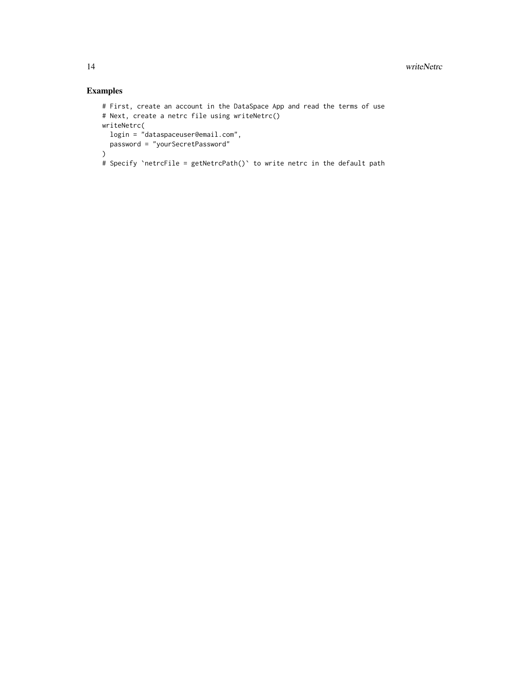# Examples

```
# First, create an account in the DataSpace App and read the terms of use
# Next, create a netrc file using writeNetrc()
writeNetrc(
 login = "dataspaceuser@email.com",
 password = "yourSecretPassword"
\lambda# Specify `netrcFile = getNetrcPath()` to write netrc in the default path
```